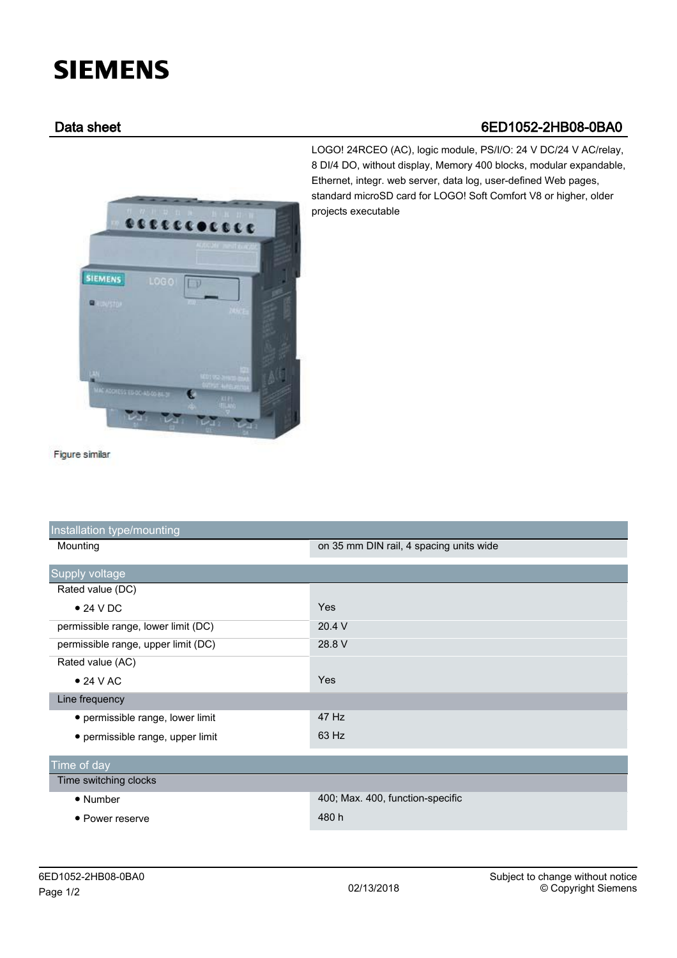## **SIEMENS**

## Data sheet 6ED1052-2HB08-0BA0



LOGO! 24RCEO (AC), logic module, PS/I/O: 24 V DC/24 V AC/relay, 8 DI/4 DO, without display, Memory 400 blocks, modular expandable, Ethernet, integr. web server, data log, user-defined Web pages, standard microSD card for LOGO! Soft Comfort V8 or higher, older projects executable

Figure similar

| Installation type/mounting          |                                         |
|-------------------------------------|-----------------------------------------|
| Mounting                            | on 35 mm DIN rail, 4 spacing units wide |
|                                     |                                         |
| Supply voltage                      |                                         |
| Rated value (DC)                    |                                         |
| $\bullet$ 24 V DC                   | Yes                                     |
| permissible range, lower limit (DC) | 20.4 V                                  |
| permissible range, upper limit (DC) | 28.8 V                                  |
| Rated value (AC)                    |                                         |
| $\bullet$ 24 V AC                   | Yes                                     |
| Line frequency                      |                                         |
| • permissible range, lower limit    | 47 Hz                                   |
| • permissible range, upper limit    | 63 Hz                                   |
|                                     |                                         |
| Time of day                         |                                         |
| Time switching clocks               |                                         |
| $\bullet$ Number                    | 400; Max. 400, function-specific        |
| • Power reserve                     | 480 h                                   |